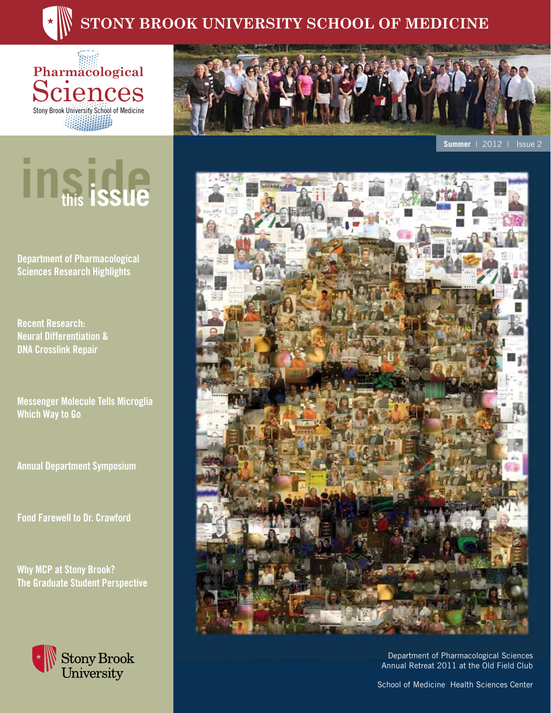# **Stony Brook University School Of Medicine**

**Pharmacological Sciences** Stony Brook University School of Medicine 

# **inside this issue**

**Department of Pharmacological Sciences Research Highlights**

**Recent Research: Neural Differentiation & DNA Crosslink Repair** 

**Messenger Molecule Tells Microglia Which Way to Go**

**Annual Department Symposium**

**Fond Farewell to Dr. Crawford**

**Why MCP at Stony Brook? The Graduate Student Perspective**





**Summer** | 2012 | Issue 2



Department of Pharmacological Sciences Annual Retreat 2011 at the Old Field Club

School of Medicine Health Sciences Center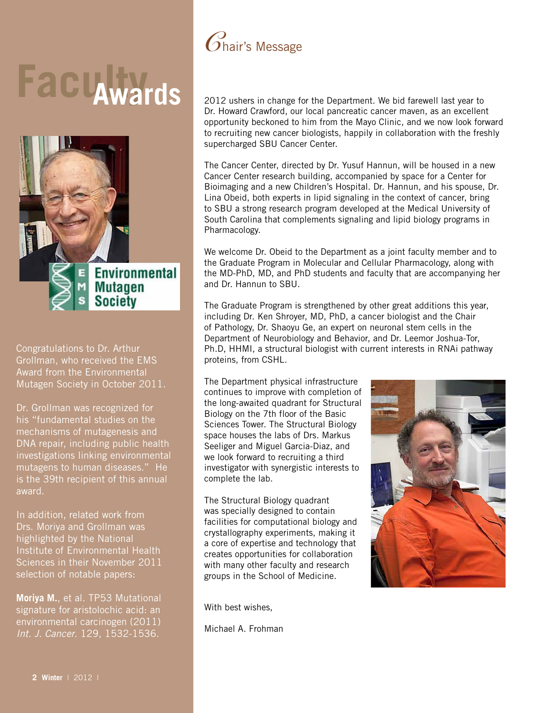# **Facu<sub>wards</sub>**



Congratulations to Dr. Arthur Grollman, who received the EMS Award from the Environmental Mutagen Society in October 2011.

Dr. Grollman was recognized for his "fundamental studies on the mechanisms of mutagenesis and DNA repair, including public health investigations linking environmental mutagens to human diseases." He is the 39th recipient of this annual award.

In addition, related work from Drs. Moriya and Grollman was highlighted by the National Institute of Environmental Health Sciences in their November 2011 selection of notable papers:

**Moriya M.**, et al. TP53 Mutational signature for aristolochic acid: an environmental carcinogen (2011) *Int. J. Cancer*. 129, 1532-1536.



2012 ushers in change for the Department. We bid farewell last year to Dr. Howard Crawford, our local pancreatic cancer maven, as an excellent opportunity beckoned to him from the Mayo Clinic, and we now look forward to recruiting new cancer biologists, happily in collaboration with the freshly supercharged SBU Cancer Center.

The Cancer Center, directed by Dr. Yusuf Hannun, will be housed in a new Cancer Center research building, accompanied by space for a Center for Bioimaging and a new Children's Hospital. Dr. Hannun, and his spouse, Dr. Lina Obeid, both experts in lipid signaling in the context of cancer, bring to SBU a strong research program developed at the Medical University of South Carolina that complements signaling and lipid biology programs in Pharmacology.

We welcome Dr. Obeid to the Department as a joint faculty member and to the Graduate Program in Molecular and Cellular Pharmacology, along with the MD-PhD, MD, and PhD students and faculty that are accompanying her and Dr. Hannun to SBU.

The Graduate Program is strengthened by other great additions this year, including Dr. Ken Shroyer, MD, PhD, a cancer biologist and the Chair of Pathology, Dr. Shaoyu Ge, an expert on neuronal stem cells in the Department of Neurobiology and Behavior, and Dr. Leemor Joshua-Tor, Ph.D, HHMI, a structural biologist with current interests in RNAi pathway proteins, from CSHL.

The Department physical infrastructure continues to improve with completion of the long-awaited quadrant for Structural Biology on the 7th floor of the Basic Sciences Tower. The Structural Biology space houses the labs of Drs. Markus Seeliger and Miguel Garcia-Diaz, and we look forward to recruiting a third investigator with synergistic interests to complete the lab.

The Structural Biology quadrant was specially designed to contain facilities for computational biology and crystallography experiments, making it a core of expertise and technology that creates opportunities for collaboration with many other faculty and research groups in the School of Medicine.

With best wishes,

Michael A. Frohman

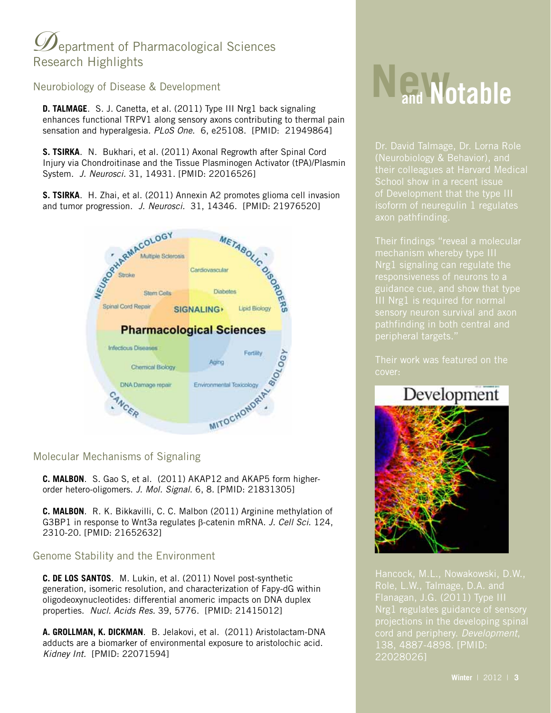# $\mathscr{D}% _{T}=\mathscr{D}_{T}\!\left( \mathcal{A}\right)$  epartment of Pharmacological Sciences Research Highlights

Neurobiology of Disease & Development

**D. TALMAGE**. S. J. Canetta, et al. (2011) Type III Nrg1 back signaling enhances functional TRPV1 along sensory axons contributing to thermal pain sensation and hyperalgesia. *PLoS One*. 6, e25108. [PMID: 21949864]

**S. TSIRKA**. N. Bukhari, et al. (2011) Axonal Regrowth after Spinal Cord Injury via Chondroitinase and the Tissue Plasminogen Activator (tPA)/Plasmin System. *J. Neurosci.* 31, 14931. [PMID: 22016526]

**S. TSIRKA**. H. Zhai, et al. (2011) Annexin A2 promotes glioma cell invasion and tumor progression. *J. Neurosci.* 31, 14346. [PMID: 21976520]



#### Molecular Mechanisms of Signaling

**C. MALBON**. S. Gao S, et al. (2011) AKAP12 and AKAP5 form higherorder hetero-oligomers. *J. Mol. Signal*. 6, 8. [PMID: 21831305]

**C. MALBON**. R. K. Bikkavilli, C. C. Malbon (2011) Arginine methylation of G3BP1 in response to Wnt3a regulates b-catenin mRNA. *J. Cell Sci*. 124, 2310-20. [PMID: 21652632]

#### Genome Stability and the Environment

**C. DE LOS SANTOS**. M. Lukin, et al. (2011) Novel post-synthetic generation, isomeric resolution, and characterization of Fapy-dG within oligodeoxynucleotides: differential anomeric impacts on DNA duplex properties. *Nucl. Acids Res.* 39, 5776. [PMID: 21415012]

**A. GROLLMAN, K. DICKMAN**. B. Jelakovi, et al. (2011) Aristolactam-DNA adducts are a biomarker of environmental exposure to aristolochic acid. *Kidney Int.* [PMID: 22071594]

# **Newand Notable**

Dr. David Talmage, Dr. Lorna Role (Neurobiology & Behavior), and their colleagues at Harvard Medical School show in a recent issue of Development that the type III

Their findings "reveal a molecular mechanism whereby type III guidance cue, and show that type sensory neuron survival and axon

cover:

Development

Flanagan, J.G. (2011) Type III Nrg1 regulates guidance of sensory 138, 4887-4898. [PMID: 22028026]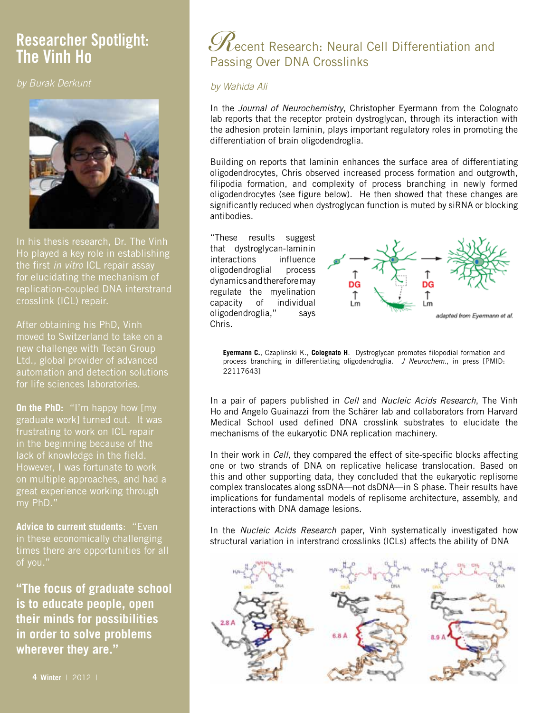# **Researcher Spotlight:**

*by Burak Derkunt*



In his thesis research, Dr. The Vinh Ho played a key role in establishing the first *in vitro* ICL repair assay for elucidating the mechanism of replication-coupled DNA interstrand crosslink (ICL) repair.

After obtaining his PhD, Vinh moved to Switzerland to take on a new challenge with Tecan Group Ltd., global provider of advanced automation and detection solutions for life sciences laboratories.

**On the PhD:** "I'm happy how [my graduate work] turned out. It was frustrating to work on ICL repair in the beginning because of the lack of knowledge in the field. However, I was fortunate to work on multiple approaches, and had a great experience working through my PhD."

**Advice to current students**: "Even in these economically challenging times there are opportunities for all of you."

**"The focus of graduate school is to educate people, open their minds for possibilities in order to solve problems wherever they are."**

# **The** *Recent Research: Neural Cell Differentiation and* Passing Over DNA Crosslinks

#### *by Wahida Ali*

In the *Journal of Neurochemistry*, Christopher Eyermann from the Colognato lab reports that the receptor protein dystroglycan, through its interaction with the adhesion protein laminin, plays important regulatory roles in promoting the differentiation of brain oligodendroglia.

Building on reports that laminin enhances the surface area of differentiating oligodendrocytes, Chris observed increased process formation and outgrowth, filipodia formation, and complexity of process branching in newly formed oligodendrocytes (see figure below). He then showed that these changes are significantly reduced when dystroglycan function is muted by siRNA or blocking antibodies.

"These results suggest that dystroglycan-laminin interactions influence oligodendroglial process dynamics and therefore may regulate the myelination capacity of individual oligodendroglia," says Chris.



**Eyermann C.**, Czaplinski K., **Colognato H**. Dystroglycan promotes filopodial formation and process branching in differentiating oligodendroglia. *J Neurochem*., in press [PMID: 22117643]

In a pair of papers published in *Cell* and *Nucleic Acids Research*, The Vinh Ho and Angelo Guainazzi from the Schärer lab and collaborators from Harvard Medical School used defined DNA crosslink substrates to elucidate the mechanisms of the eukaryotic DNA replication machinery.

In their work in *Cell*, they compared the effect of site-specific blocks affecting one or two strands of DNA on replicative helicase translocation. Based on this and other supporting data, they concluded that the eukaryotic replisome complex translocates along ssDNA—not dsDNA—in S phase. Their results have implications for fundamental models of replisome architecture, assembly, and interactions with DNA damage lesions.

In the *Nucleic Acids Research* paper, Vinh systematically investigated how structural variation in interstrand crosslinks (ICLs) affects the ability of DNA

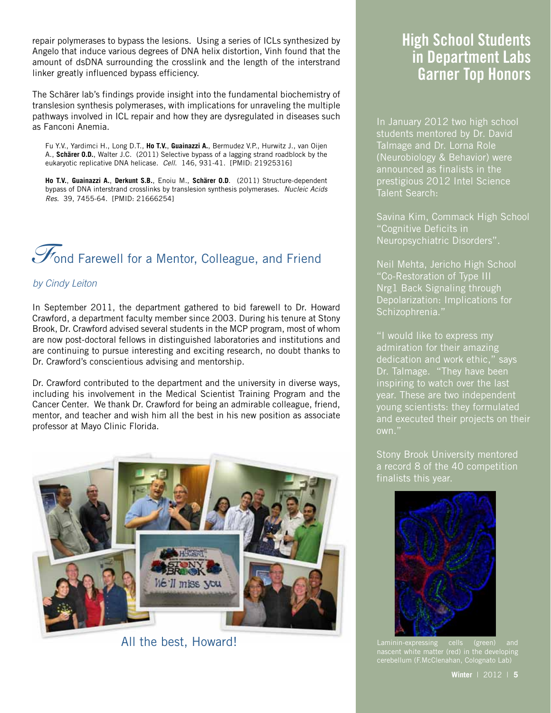repair polymerases to bypass the lesions. Using a series of ICLs synthesized by Angelo that induce various degrees of DNA helix distortion, Vinh found that the amount of dsDNA surrounding the crosslink and the length of the interstrand linker greatly influenced bypass efficiency.

The Schärer lab's findings provide insight into the fundamental biochemistry of translesion synthesis polymerases, with implications for unraveling the multiple pathways involved in ICL repair and how they are dysregulated in diseases such as Fanconi Anemia.

Fu Y.V., Yardimci H., Long D.T., **Ho T.V.**, **Guainazzi A.**, Bermudez V.P., Hurwitz J., van Oijen A., **Schärer O.D.**, Walter J.C. (2011) Selective bypass of a lagging strand roadblock by the eukaryotic replicative DNA helicase. *Cell*. 146, 931-41. [PMID: 21925316]

**Ho T.V.**, **Guainazzi A.**, **Derkunt S.B.**, Enoiu M., **Schärer O.D**. (2011) Structure-dependent bypass of DNA interstrand crosslinks by translesion synthesis polymerases. *Nucleic Acids Res*. 39, 7455-64. [PMID: 21666254]

# **Fond Farewell for a Mentor, Colleague, and Friend**

#### *by Cindy Leiton*

In September 2011, the department gathered to bid farewell to Dr. Howard Crawford, a department faculty member since 2003. During his tenure at Stony Brook, Dr. Crawford advised several students in the MCP program, most of whom are now post-doctoral fellows in distinguished laboratories and institutions and are continuing to pursue interesting and exciting research, no doubt thanks to Dr. Crawford's conscientious advising and mentorship.

Dr. Crawford contributed to the department and the university in diverse ways, including his involvement in the Medical Scientist Training Program and the Cancer Center. We thank Dr. Crawford for being an admirable colleague, friend, mentor, and teacher and wish him all the best in his new position as associate professor at Mayo Clinic Florida.



# **High School Students in Department Labs Garner Top Honors**

In January 2012 two high school students mentored by Dr. David Talmage and Dr. Lorna Role (Neurobiology & Behavior) were announced as finalists in the prestigious 2012 Intel Science Talent Search:

Savina Kim, Commack High School "Cognitive Deficits in Neuropsychiatric Disorders".

Neil Mehta, Jericho High School "Co-Restoration of Type III Nrg1 Back Signaling through Depolarization: Implications for Schizophrenia."

"I would like to express my admiration for their amazing dedication and work ethic," says Dr. Talmage. "They have been inspiring to watch over the last year. These are two independent young scientists: they formulated and executed their projects on their

Stony Brook University mentored a record 8 of the 40 competition finalists this year.



All the best, Howard! Laminin-expressing cells (green) and cerebellum (F.McClenahan, Colognato Lab)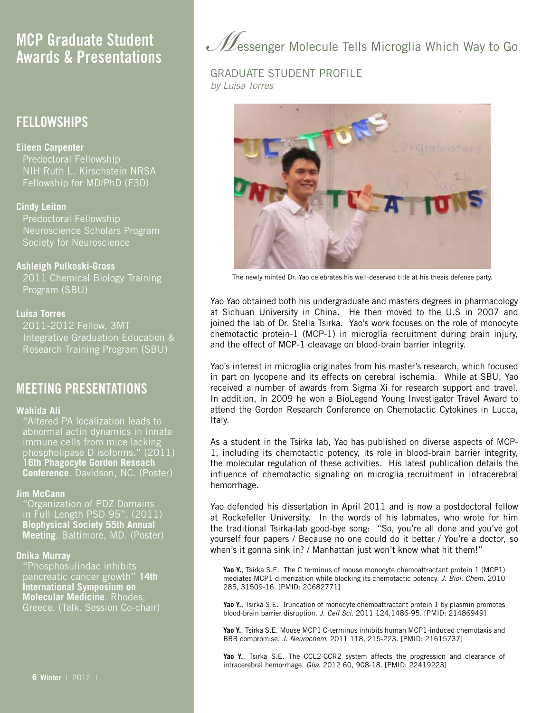## **MCP Graduate Student Awards & Presentations**

## **FELLOWSHIPS**

#### **Eileen Carpenter**

Predoctoral Fellowship NIH Ruth L. Kirschstein NRSA Fellowship for MD/PhD (F30)

#### **Cindy Leiton**

Predoctoral Fellowship Neuroscience Scholars Program Society for Neuroscience

#### **Ashleigh Pulkoski-Gross**

2011 Chemical Biology Training Program (SBU)

#### **Luisa Torres**

2011-2012 Fellow, 3MT Integrative Graduation Education & Research Training Program (SBU)

### **MEETING PRESENTATIONS**

#### **Wahida Ali**

"Altered PA localization leads to abnormal actin dynamics in innate immune cells from mice lacking phospholipase D isoforms." (2011) **16th Phagocyte Gordon Reseach Conference**. Davidson, NC. (Poster)

#### **Jim McCann**

"Organization of PDZ Domains in Full-Length PSD-95". (2011) **Biophysical Society 55th Annual Meeting**. Baltimore, MD. (Poster)

#### **Onika Murray**

"Phosphosulindac inhibits pancreatic cancer growth" **14th International Symposium on Molecular Medicine**. Rhodes, Greece. (Talk. Session Co-chair) *M*essenger Molecule Tells Microglia Which Way to Go

#### GRADUATE STUDENT PROFILE *by Luisa Torres*



The newly minted Dr. Yao celebrates his well-deserved title at his thesis defense party.

Yao Yao obtained both his undergraduate and masters degrees in pharmacology at Sichuan University in China. He then moved to the U.S in 2007 and joined the lab of Dr. Stella Tsirka. Yao's work focuses on the role of monocyte chemotactic protein-1 (MCP-1) in microglia recruitment during brain injury, and the effect of MCP-1 cleavage on blood-brain barrier integrity.

Yao's interest in microglia originates from his master's research, which focused in part on lycopene and its effects on cerebral ischemia. While at SBU, Yao received a number of awards from Sigma Xi for research support and travel. In addition, in 2009 he won a BioLegend Young Investigator Travel Award to attend the Gordon Research Conference on Chemotactic Cytokines in Lucca, Italy.

As a student in the Tsirka lab, Yao has published on diverse aspects of MCP-1, including its chemotactic potency, its role in blood-brain barrier integrity, the molecular regulation of these activities. His latest publication details the influence of chemotactic signaling on microglia recruitment in intracerebral hemorrhage.

Yao defended his dissertation in April 2011 and is now a postdoctoral fellow at Rockefeller University. In the words of his labmates, who wrote for him the traditional Tsirka-lab good-bye song: "So, you're all done and you've got yourself four papers / Because no one could do it better / You're a doctor, so when's it gonna sink in? / Manhattan just won't know what hit them!"

Yao Y., Tsirka S.E. The C terminus of mouse monocyte chemoattractant protein 1 (MCP1) mediates MCP1 dimerization while blocking its chemotactic potency. *J. Biol. Chem*. 2010 285, 31509-16. [PMID: 20682771]

Yao Y., Tsirka S.E. Truncation of monocyte chemoattractant protein 1 by plasmin promotes blood-brain barrier disruption. *J. Cell Sci*. 2011 124,1486-95. [PMID: 21486949]

**Yao Y.**, Tsirka S.E. Mouse MCP1 C-terminus inhibits human MCP1-induced chemotaxis and BBB compromise. *J. Neurochem*. 2011 118, 215-223. [PMID: 21615737]

**Yao Y.**, Tsirka S.E. The CCL2-CCR2 system affects the progression and clearance of intracerebral hemorrhage. *Glia*. 2012 60, 908-18. [PMID: 22419223]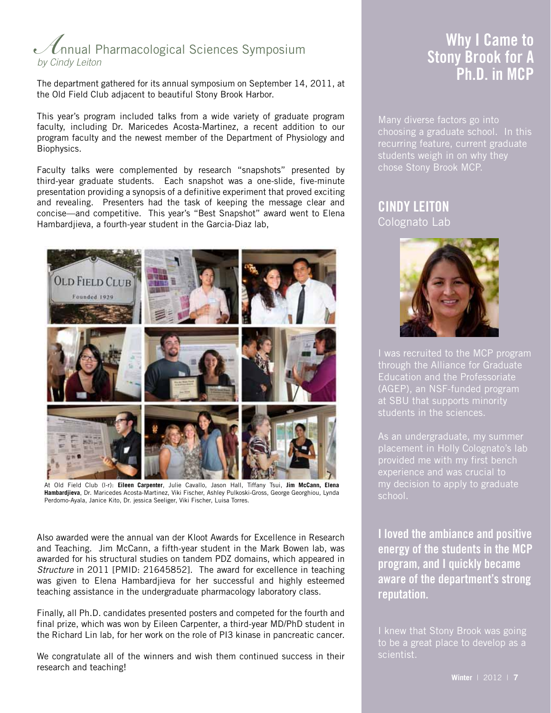# *A*nnual Pharmacological Sciences Symposium *by Cindy Leiton*

The department gathered for its annual symposium on September 14, 2011, at the Old Field Club adjacent to beautiful Stony Brook Harbor.

This year's program included talks from a wide variety of graduate program faculty, including Dr. Maricedes Acosta-Martinez, a recent addition to our program faculty and the newest member of the Department of Physiology and Biophysics.

Faculty talks were complemented by research "snapshots" presented by third-year graduate students. Each snapshot was a one-slide, five-minute presentation providing a synopsis of a definitive experiment that proved exciting and revealing. Presenters had the task of keeping the message clear and concise—and competitive. This year's "Best Snapshot" award went to Elena Hambardjieva, a fourth-year student in the Garcia-Diaz lab,



At Old Field Club (l-r): **Eileen Carpenter**, Julie Cavallo, Jason Hall, Tiffany Tsui, **Jim McCann, Elena Hambardjieva**, Dr. Maricedes Acosta-Martinez, Viki Fischer, Ashley Pulkoski-Gross, George Georghiou, Lynda Perdomo-Ayala, Janice Kito, Dr. jessica Seeliger, Viki Fischer, Luisa Torres.

Also awarded were the annual van der Kloot Awards for Excellence in Research and Teaching. Jim McCann, a fifth-year student in the Mark Bowen lab, was awarded for his structural studies on tandem PDZ domains, which appeared in *Structure* in 2011 [PMID: 21645852]. The award for excellence in teaching was given to Elena Hambardjieva for her successful and highly esteemed teaching assistance in the undergraduate pharmacology laboratory class.

Finally, all Ph.D. candidates presented posters and competed for the fourth and final prize, which was won by Eileen Carpenter, a third-year MD/PhD student in the Richard Lin lab, for her work on the role of PI3 kinase in pancreatic cancer.

We congratulate all of the winners and wish them continued success in their research and teaching!

# **Why I Came to Stony Brook for A Ph.D. in MCP**

Many diverse factors go into choosing a graduate school. In this recurring feature, current graduate students weigh in on why they chose Stony Brook MCP.

### **CINDY LEITON** Colognato Lab



I was recruited to the MCP program through the Alliance for Graduate Education and the Professoriate (AGEP), an NSF-funded program at SBU that supports minority students in the sciences.

As an undergraduate, my summer placement in Holly Colognato's lab experience and was crucial to my decision to apply to graduate school.

**I loved the ambiance and positive energy of the students in the MCP program, and I quickly became aware of the department's strong reputation.** 

I knew that Stony Brook was going to be a great place to develop as a scientist.